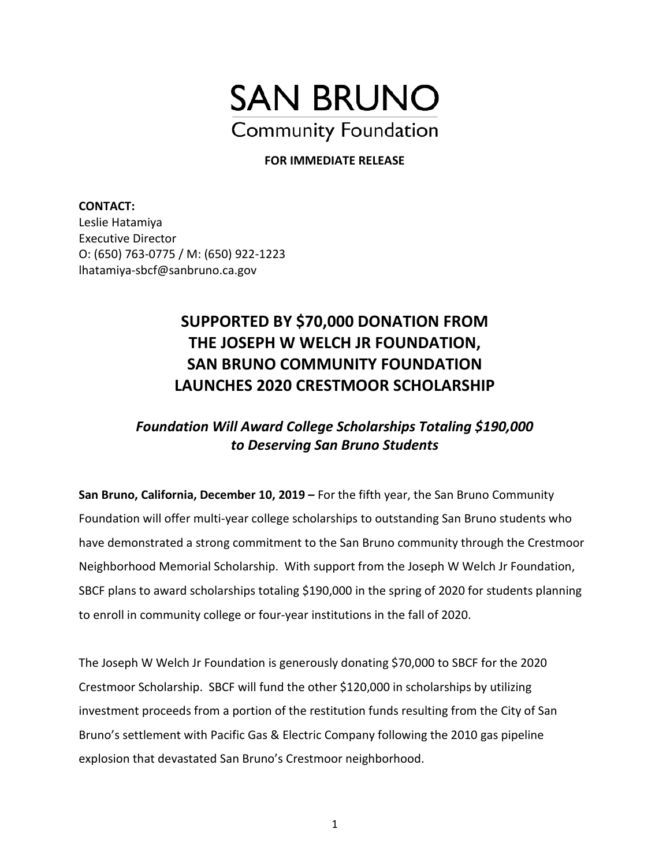

## **FOR IMMEDIATE RELEASE**

**CONTACT:**  Leslie Hatamiya Executive Director O: (650) 763-0775 / M: (650) 922-1223 lhatamiya-sbcf@sanbruno.ca.gov

## **SUPPORTED BY \$70,000 DONATION FROM THE JOSEPH W WELCH JR FOUNDATION, SAN BRUNO COMMUNITY FOUNDATION LAUNCHES 2020 CRESTMOOR SCHOLARSHIP**

## *Foundation Will Award College Scholarships Totaling \$190,000 to Deserving San Bruno Students*

**San Bruno, California, December 10, 2019 –** For the fifth year, the San Bruno Community Foundation will offer multi-year college scholarships to outstanding San Bruno students who have demonstrated a strong commitment to the San Bruno community through the Crestmoor Neighborhood Memorial Scholarship. With support from the Joseph W Welch Jr Foundation, SBCF plans to award scholarships totaling \$190,000 in the spring of 2020 for students planning to enroll in community college or four-year institutions in the fall of 2020.

The Joseph W Welch Jr Foundation is generously donating \$70,000 to SBCF for the 2020 Crestmoor Scholarship. SBCF will fund the other \$120,000 in scholarships by utilizing investment proceeds from a portion of the restitution funds resulting from the City of San Bruno's settlement with Pacific Gas & Electric Company following the 2010 gas pipeline explosion that devastated San Bruno's Crestmoor neighborhood.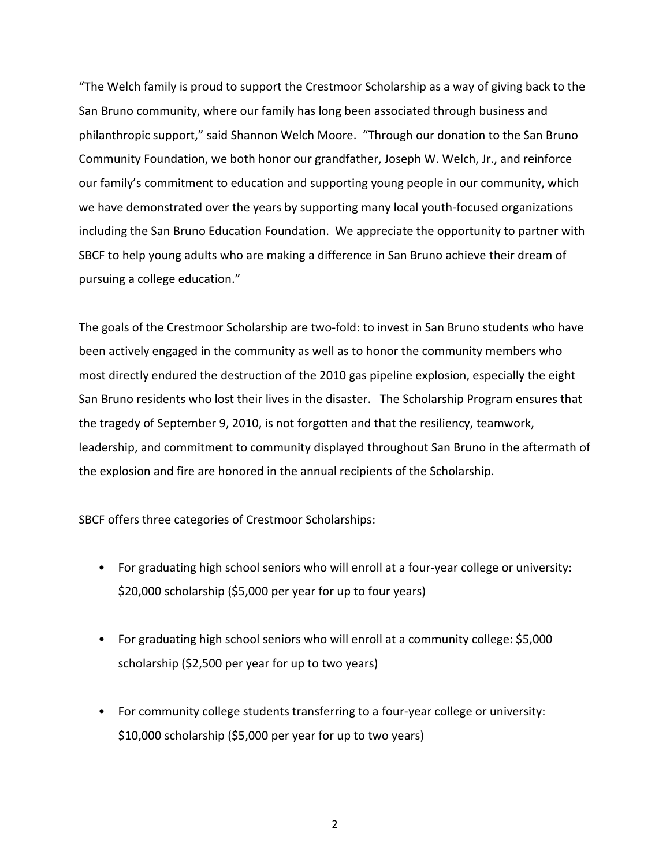"The Welch family is proud to support the Crestmoor Scholarship as a way of giving back to the San Bruno community, where our family has long been associated through business and philanthropic support," said Shannon Welch Moore. "Through our donation to the San Bruno Community Foundation, we both honor our grandfather, Joseph W. Welch, Jr., and reinforce our family's commitment to education and supporting young people in our community, which we have demonstrated over the years by supporting many local youth-focused organizations including the San Bruno Education Foundation. We appreciate the opportunity to partner with SBCF to help young adults who are making a difference in San Bruno achieve their dream of pursuing a college education."

The goals of the Crestmoor Scholarship are two-fold: to invest in San Bruno students who have been actively engaged in the community as well as to honor the community members who most directly endured the destruction of the 2010 gas pipeline explosion, especially the eight San Bruno residents who lost their lives in the disaster. The Scholarship Program ensures that the tragedy of September 9, 2010, is not forgotten and that the resiliency, teamwork, leadership, and commitment to community displayed throughout San Bruno in the aftermath of the explosion and fire are honored in the annual recipients of the Scholarship.

SBCF offers three categories of Crestmoor Scholarships:

- For graduating high school seniors who will enroll at a four-year college or university: \$20,000 scholarship (\$5,000 per year for up to four years)
- For graduating high school seniors who will enroll at a community college: \$5,000 scholarship (\$2,500 per year for up to two years)
- For community college students transferring to a four-year college or university: \$10,000 scholarship (\$5,000 per year for up to two years)